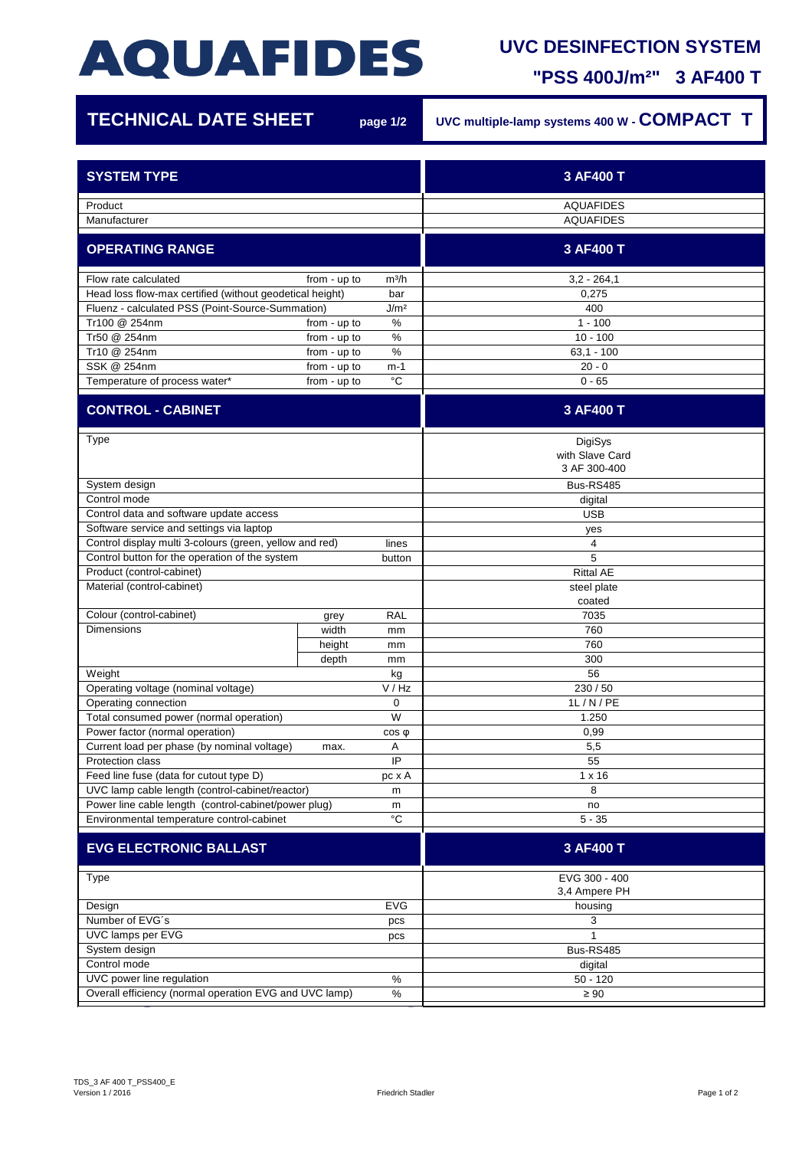## **AQUAFIDES**

## **UVC DESINFECTION SYSTEM**

**"PSS 400J/m²" 3 AF400 T**

| <b>TECHNICAL DATE SHEET</b>                                      |              | page 1/2           | UVC multiple-lamp systems 400 W - COMPACT T |
|------------------------------------------------------------------|--------------|--------------------|---------------------------------------------|
| <b>SYSTEM TYPE</b>                                               |              |                    | 3 AF400 T                                   |
| Product                                                          |              |                    | <b>AQUAFIDES</b>                            |
| Manufacturer                                                     |              |                    | <b>AQUAFIDES</b>                            |
| <b>OPERATING RANGE</b>                                           |              |                    | 3 AF400 T                                   |
| Flow rate calculated                                             | from - up to | m <sup>3</sup> /h  | $3,2 - 264,1$                               |
| Head loss flow-max certified (without geodetical height)         |              | bar                | 0,275                                       |
| Fluenz - calculated PSS (Point-Source-Summation)                 |              | J/m <sup>2</sup>   | 400                                         |
| Tr100 @ 254nm                                                    | from - up to | $\%$               | $1 - 100$                                   |
| Tr50 @ 254nm                                                     | from - up to | %                  | $10 - 100$                                  |
| Tr10 @ 254nm                                                     | from - up to | $\%$               | $63,1 - 100$                                |
| SSK @ 254nm                                                      | from - up to | m-1<br>$^{\circ}C$ | $20 - 0$                                    |
| Temperature of process water*                                    | from - up to |                    | $0 - 65$                                    |
| <b>CONTROL - CABINET</b>                                         |              |                    | 3 AF400 T                                   |
| Type                                                             |              |                    | DigiSys<br>with Slave Card<br>3 AF 300-400  |
| System design                                                    |              |                    | Bus-RS485                                   |
| Control mode                                                     |              |                    | digital                                     |
| Control data and software update access                          |              |                    | <b>USB</b>                                  |
| Software service and settings via laptop                         |              |                    | yes                                         |
| Control display multi 3-colours (green, yellow and red)<br>lines |              |                    | 4                                           |
| Control button for the operation of the system                   |              | button             | 5                                           |
| Product (control-cabinet)                                        |              |                    | <b>Rittal AE</b>                            |
| Material (control-cabinet)                                       |              |                    | steel plate<br>coated                       |
| Colour (control-cabinet)                                         | grey         | <b>RAL</b>         | 7035                                        |
| <b>Dimensions</b>                                                | width        | mm                 | 760                                         |
|                                                                  | height       | mm                 | 760                                         |
|                                                                  | depth        | mm                 | 300                                         |
| Weight                                                           |              | kg                 | 56                                          |
| Operating voltage (nominal voltage)                              |              | V / Hz             | 230 / 50                                    |
| Operating connection                                             |              | 0                  | 1L / N / PE                                 |
| Total consumed power (normal operation)                          |              | W                  | 1.250                                       |
| Power factor (normal operation)                                  |              | $cos \phi$         | 0,99                                        |
| Current load per phase (by nominal voltage)                      | max.         | Α                  | 5,5                                         |
| Protection class                                                 |              | IP                 | 55                                          |
| Feed line fuse (data for cutout type D)                          |              | pc x A             | $1 \times 16$                               |
| UVC lamp cable length (control-cabinet/reactor)                  |              | m                  | 8                                           |
| Power line cable length (control-cabinet/power plug)             |              | m                  | no                                          |
| Environmental temperature control-cabinet                        |              | $^{\circ}{\rm C}$  | $5 - 35$                                    |
| <b>EVG ELECTRONIC BALLAST</b>                                    |              |                    | 3 AF400 T                                   |
| Type                                                             |              |                    | EVG 300 - 400                               |
|                                                                  |              |                    | 3,4 Ampere PH                               |
| Design                                                           |              | <b>EVG</b>         | housing                                     |
| Number of EVG's                                                  |              | pcs                | 3                                           |
| UVC lamps per EVG<br>System design                               |              | pcs                | Bus-RS485                                   |
| Control mode                                                     |              |                    | digital                                     |
| UVC power line regulation                                        |              | $\%$               | $50 - 120$                                  |
| Overall efficiency (normal operation EVG and UVC lamp)<br>$\%$   |              | $\geq 90$          |                                             |
|                                                                  |              |                    |                                             |